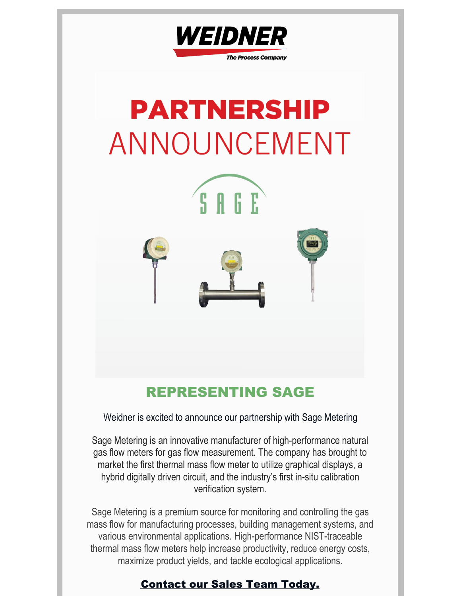

# **PARTNERSHIP** ANNOUNCEMENT

SAGE



# REPRESENTING SAGE

Weidner is excited to announce our partnership with Sage Metering

Sage Metering is an innovative manufacturer of high-performance natural gas flow meters for gas flow measurement. The company has brought to market the first thermal mass flow meter to utilize graphical displays, a hybrid digitally driven circuit, and the industry's first in-situ calibration verification system.

Sage Metering is a premium source for monitoring and controlling the gas mass flow for manufacturing processes, building [management](https://sagemetering.com/energy-management-paper/) systems, and various [environmental](https://sagemetering.com/applications/environmental/) applications. High-performance NIST-traceable thermal mass flow meters help increase productivity, reduce energy costs, maximize product yields, and tackle ecological applications.

## [Contact](mailto:sales@weidnerpro.com) our Sales Team Today.